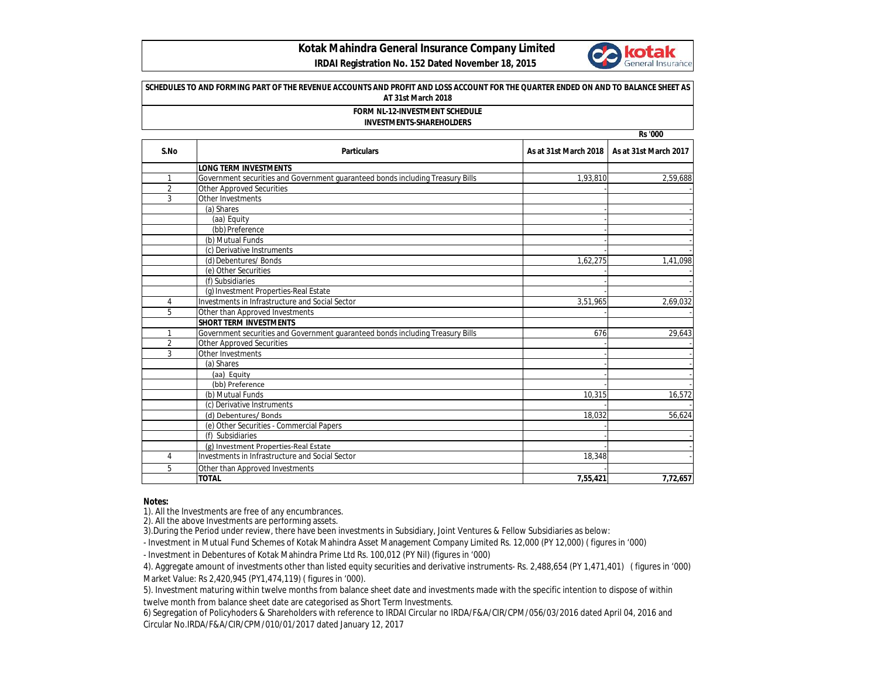## **Kotak Mahindra General Insurance Company Limited**



## **IRDAI Registration No. 152 Dated November 18, 2015**

|                | SCHEDULES TO AND FORMING PART OF THE REVENUE ACCOUNTS AND PROFIT AND LOSS ACCOUNT FOR THE QUARTER ENDED ON AND TO BALANCE SHEET AS<br>AT 31st March 2018<br>FORM NL-12-INVESTMENT SCHEDULE<br><b>INVESTMENTS-SHAREHOLDERS</b><br><b>Rs</b> '000 |                       |                       |  |  |
|----------------|-------------------------------------------------------------------------------------------------------------------------------------------------------------------------------------------------------------------------------------------------|-----------------------|-----------------------|--|--|
|                |                                                                                                                                                                                                                                                 |                       |                       |  |  |
|                |                                                                                                                                                                                                                                                 |                       |                       |  |  |
| S.No           | <b>Particulars</b>                                                                                                                                                                                                                              | As at 31st March 2018 | As at 31st March 2017 |  |  |
|                | <b>LONG TERM INVESTMENTS</b>                                                                                                                                                                                                                    |                       |                       |  |  |
| 1              | Government securities and Government guaranteed bonds including Treasury Bills                                                                                                                                                                  | 1.93.810              | 2,59,688              |  |  |
| $\overline{2}$ | <b>Other Approved Securities</b>                                                                                                                                                                                                                |                       |                       |  |  |
| 3              | Other Investments                                                                                                                                                                                                                               |                       |                       |  |  |
|                | (a) Shares                                                                                                                                                                                                                                      |                       |                       |  |  |
|                | (aa) Equity                                                                                                                                                                                                                                     |                       |                       |  |  |
|                | (bb) Preference                                                                                                                                                                                                                                 |                       |                       |  |  |
|                | (b) Mutual Funds                                                                                                                                                                                                                                |                       |                       |  |  |
|                | (c) Derivative Instruments                                                                                                                                                                                                                      |                       |                       |  |  |
|                | (d) Debentures/ Bonds                                                                                                                                                                                                                           | 1.62.275              | 1.41.098              |  |  |
|                | (e) Other Securities                                                                                                                                                                                                                            |                       |                       |  |  |
|                | (f) Subsidiaries                                                                                                                                                                                                                                |                       |                       |  |  |
|                | (g) Investment Properties-Real Estate                                                                                                                                                                                                           |                       |                       |  |  |
| 4              | Investments in Infrastructure and Social Sector                                                                                                                                                                                                 | 3,51,965              | 2,69,032              |  |  |
| 5              | Other than Approved Investments                                                                                                                                                                                                                 |                       |                       |  |  |
|                | <b>SHORT TERM INVESTMENTS</b>                                                                                                                                                                                                                   |                       |                       |  |  |
| 1              | Government securities and Government quaranteed bonds including Treasury Bills                                                                                                                                                                  | 676                   | 29,643                |  |  |
| $\overline{2}$ | <b>Other Approved Securities</b>                                                                                                                                                                                                                |                       |                       |  |  |
| 3              | Other Investments                                                                                                                                                                                                                               |                       |                       |  |  |
|                | (a) Shares                                                                                                                                                                                                                                      |                       |                       |  |  |
|                | (aa) Equity                                                                                                                                                                                                                                     |                       |                       |  |  |
|                | (bb) Preference                                                                                                                                                                                                                                 |                       |                       |  |  |
|                | (b) Mutual Funds                                                                                                                                                                                                                                | 10,315                | 16,572                |  |  |
|                | (c) Derivative Instruments                                                                                                                                                                                                                      |                       |                       |  |  |
|                | (d) Debentures/ Bonds                                                                                                                                                                                                                           | 18.032                | 56.624                |  |  |
|                | (e) Other Securities - Commercial Papers                                                                                                                                                                                                        |                       |                       |  |  |
|                | (f) Subsidiaries                                                                                                                                                                                                                                |                       |                       |  |  |
|                | (g) Investment Properties-Real Estate                                                                                                                                                                                                           |                       |                       |  |  |
| 4              | Investments in Infrastructure and Social Sector                                                                                                                                                                                                 | 18,348                |                       |  |  |
| 5              | Other than Approved Investments                                                                                                                                                                                                                 |                       |                       |  |  |
|                | <b>TOTAL</b>                                                                                                                                                                                                                                    | 7,55,421              | 7,72,657              |  |  |

## **Notes:**

1). All the Investments are free of any encumbrances.

2). All the above Investments are performing assets.

3).During the Period under review, there have been investments in Subsidiary, Joint Ventures & Fellow Subsidiaries as below:

- Investment in Mutual Fund Schemes of Kotak Mahindra Asset Management Company Limited Rs. 12,000 (PY 12,000) ( figures in '000)

- Investment in Debentures of Kotak Mahindra Prime Ltd Rs. 100,012 (PY Nil) (figures in '000)

4). Aggregate amount of investments other than listed equity securities and derivative instruments- Rs. 2,488,654 (PY 1,471,401) ( figures in '000) Market Value: Rs 2,420,945 (PY1,474,119) ( figures in '000).

5). Investment maturing within twelve months from balance sheet date and investments made with the specific intention to dispose of within twelve month from balance sheet date are categorised as Short Term Investments.

6) Segregation of Policyhoders & Shareholders with reference to IRDAI Circular no IRDA/F&A/CIR/CPM/056/03/2016 dated April 04, 2016 and Circular No.IRDA/F&A/CIR/CPM/010/01/2017 dated January 12, 2017